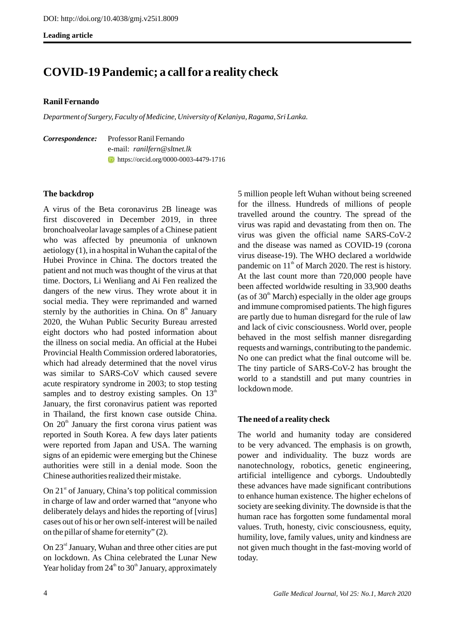**Leading article** 

# **COVID-19 Pandemic; a call for a reality check**

### **Ranil Fernando**

*Department of Surgery, Faculty of Medicine, University of Kelaniya, Ragama, Sri Lanka.* 

|  | <i>Correspondence:</i> Professor Ranil Fernando |
|--|-------------------------------------------------|
|  | e-mail: ranilfern@sltnet.lk                     |
|  | <b>t</b> https://orcid.org/0000-0003-4479-1716  |

### **The backdrop**

A virus of the Beta coronavirus 2B lineage was first discovered in December 2019, in three bronchoalveolar lavage samples of a Chinese patient who was affected by pneumonia of unknown aetiology (1), in a hospital in Wuhan the capital of the Hubei Province in China. The doctors treated the patient and not much was thought of the virus at that time. Doctors, Li Wenliang and Ai Fen realized the dangers of the new virus. They wrote about it in social media. They were reprimanded and warned sternly by the authorities in China. On  $8<sup>th</sup>$  January 2020, the Wuhan Public Security Bureau arrested eight doctors who had posted information about the illness on social media. An official at the Hubei Provincial Health Commission ordered laboratories, which had already determined that the novel virus was similar to SARS-CoV which caused severe acute respiratory syndrome in 2003; to stop testing samples and to destroy existing samples. On  $13<sup>th</sup>$ January, the first coronavirus patient was reported in Thailand, the first known case outside China. On  $20<sup>th</sup>$  January the first corona virus patient was reported in South Korea. A few days later patients were reported from Japan and USA. The warning signs of an epidemic were emerging but the Chinese authorities were still in a denial mode. Soon the Chinese authorities realized their mistake.

On  $21<sup>st</sup>$  of January, China's top political commission in charge of law and order warned that "anyone who deliberately delays and hides the reporting of [virus] cases out of his or her own self-interest will be nailed on the pillar of shame for eternity" (2).

On  $23<sup>rd</sup>$  January, Wuhan and three other cities are put on lockdown. As China celebrated the Lunar New Year holiday from  $24<sup>th</sup>$  to  $30<sup>th</sup>$  January, approximately 5 million people left Wuhan without being screened for the illness. Hundreds of millions of people travelled around the country. The spread of the virus was rapid and devastating from then on. The virus was given the official name SARS-CoV-2 and the disease was named as COVID-19 (corona virus disease-19). The WHO declared a worldwide pandemic on  $11<sup>th</sup>$  of March 2020. The rest is history. At the last count more than 720,000 people have been affected worldwide resulting in 33,900 deaths (as of  $30<sup>th</sup>$  March) especially in the older age groups and immune compromised patients. The high figures are partly due to human disregard for the rule of law and lack of civic consciousness. World over, people behaved in the most selfish manner disregarding requests and warnings, contributing to the pandemic. No one can predict what the final outcome will be. The tiny particle of SARS-CoV-2 has brought the world to a standstill and put many countries in lockdown mode.

## **The need of a reality check**

The world and humanity today are considered to be very advanced. The emphasis is on growth, power and individuality. The buzz words are nanotechnology, robotics, genetic engineering, artificial intelligence and cyborgs. Undoubtedly these advances have made significant contributions to enhance human existence. The higher echelons of society are seeking divinity. The downside is that the human race has forgotten some fundamental moral values. Truth, honesty, civic consciousness, equity, humility, love, family values, unity and kindness are not given much thought in the fast-moving world of today.